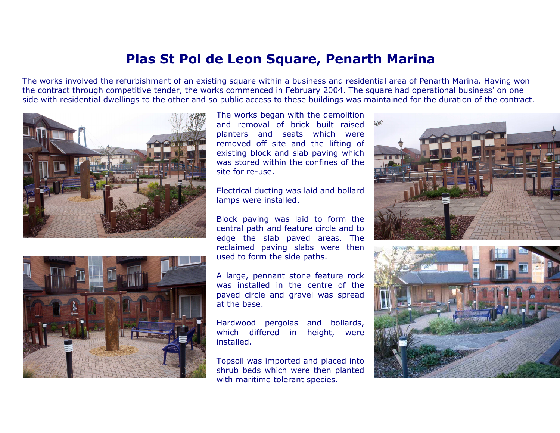## Plas St Pol de Leon Square, Penarth Marina

The works involved the refurbishment of an existing square within a business and residential area of Penarth Marina. Having won the contract through competitive tender, the works commenced in February 2004. The square had operational business' on oneside with residential dwellings to the other and so public access to these buildings was maintained for the duration of the contract.





The works began with the demolition and removal of brick built raised planters and seats which were removed off site and the lifting of existing block and slab paving which was stored within the confines of thesite for re-use.

Electrical ducting was laid and bollardlamps were installed.

Block paving was laid to form the central path and feature circle and to edge the slab paved areas. The reclaimed paving slabs were thenused to form the side paths.

A large, pennant stone feature rock was installed in the centre of the paved circle and gravel was spreadat the base.

Hardwood pergolas and bollards, which differed in height, wereinstalled.

Topsoil was imported and placed into shrub beds which were then plantedwith maritime tolerant species.